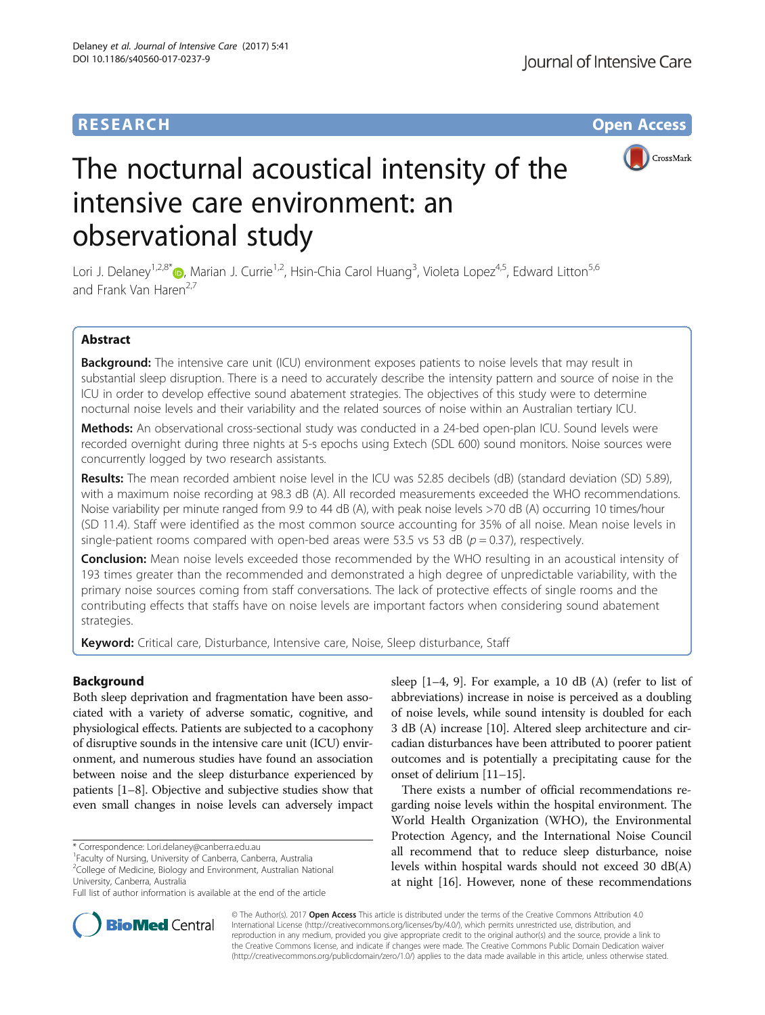# **RESEARCH CHE Open Access**



# The nocturnal acoustical intensity of the intensive care environment: an observational study

Lori J. Delaney<sup>1,2,8[\\*](http://orcid.org/0000-0003-3316-1049)</sup>®, Marian J. Currie<sup>1,2</sup>, Hsin-Chia Carol Huang<sup>3</sup>, Violeta Lopez<sup>4,5</sup>, Edward Litton<sup>5,6</sup> and Frank Van Haren<sup>2,7</sup>

# Abstract

Background: The intensive care unit (ICU) environment exposes patients to noise levels that may result in substantial sleep disruption. There is a need to accurately describe the intensity pattern and source of noise in the ICU in order to develop effective sound abatement strategies. The objectives of this study were to determine nocturnal noise levels and their variability and the related sources of noise within an Australian tertiary ICU.

**Methods:** An observational cross-sectional study was conducted in a 24-bed open-plan ICU. Sound levels were recorded overnight during three nights at 5-s epochs using Extech (SDL 600) sound monitors. Noise sources were concurrently logged by two research assistants.

Results: The mean recorded ambient noise level in the ICU was 52.85 decibels (dB) (standard deviation (SD) 5.89), with a maximum noise recording at 98.3 dB (A). All recorded measurements exceeded the WHO recommendations. Noise variability per minute ranged from 9.9 to 44 dB (A), with peak noise levels >70 dB (A) occurring 10 times/hour (SD 11.4). Staff were identified as the most common source accounting for 35% of all noise. Mean noise levels in single-patient rooms compared with open-bed areas were 53.5 vs 53 dB ( $p = 0.37$ ), respectively.

Conclusion: Mean noise levels exceeded those recommended by the WHO resulting in an acoustical intensity of 193 times greater than the recommended and demonstrated a high degree of unpredictable variability, with the primary noise sources coming from staff conversations. The lack of protective effects of single rooms and the contributing effects that staffs have on noise levels are important factors when considering sound abatement strategies.

Keyword: Critical care, Disturbance, Intensive care, Noise, Sleep disturbance, Staff

### Background

Both sleep deprivation and fragmentation have been associated with a variety of adverse somatic, cognitive, and physiological effects. Patients are subjected to a cacophony of disruptive sounds in the intensive care unit (ICU) environment, and numerous studies have found an association between noise and the sleep disturbance experienced by patients [[1](#page-6-0)–[8](#page-6-0)]. Objective and subjective studies show that even small changes in noise levels can adversely impact

\* Correspondence: [Lori.delaney@canberra.edu.au](mailto:Lori.delaney@canberra.edu.au) <sup>1</sup>

<sup>1</sup> Faculty of Nursing, University of Canberra, Canberra, Australia

<sup>2</sup>College of Medicine, Biology and Environment, Australian National University, Canberra, Australia

sleep  $[1-4, 9]$  $[1-4, 9]$  $[1-4, 9]$  $[1-4, 9]$  $[1-4, 9]$  $[1-4, 9]$ . For example, a 10 dB  $(A)$  (refer to list of abbreviations) increase in noise is perceived as a doubling of noise levels, while sound intensity is doubled for each 3 dB (A) increase [[10](#page-6-0)]. Altered sleep architecture and circadian disturbances have been attributed to poorer patient outcomes and is potentially a precipitating cause for the onset of delirium [[11](#page-6-0)–[15\]](#page-6-0).

There exists a number of official recommendations regarding noise levels within the hospital environment. The World Health Organization (WHO), the Environmental Protection Agency, and the International Noise Council all recommend that to reduce sleep disturbance, noise levels within hospital wards should not exceed 30 dB(A) at night [\[16](#page-6-0)]. However, none of these recommendations



© The Author(s). 2017 **Open Access** This article is distributed under the terms of the Creative Commons Attribution 4.0 International License [\(http://creativecommons.org/licenses/by/4.0/](http://creativecommons.org/licenses/by/4.0/)), which permits unrestricted use, distribution, and reproduction in any medium, provided you give appropriate credit to the original author(s) and the source, provide a link to the Creative Commons license, and indicate if changes were made. The Creative Commons Public Domain Dedication waiver [\(http://creativecommons.org/publicdomain/zero/1.0/](http://creativecommons.org/publicdomain/zero/1.0/)) applies to the data made available in this article, unless otherwise stated.

Full list of author information is available at the end of the article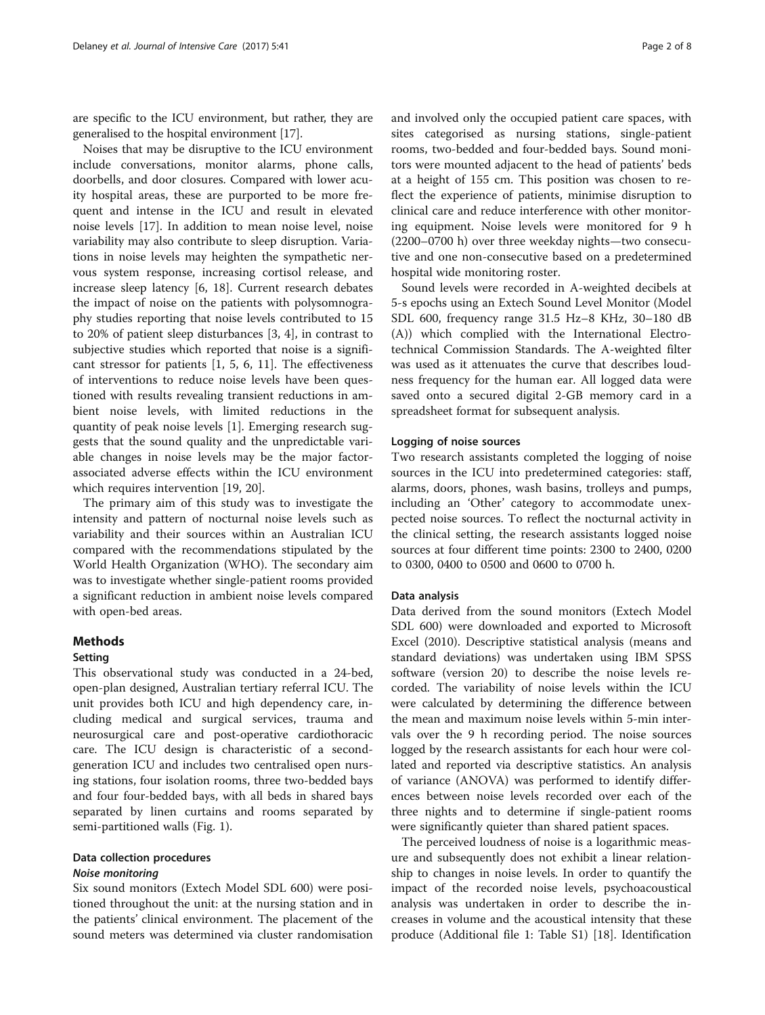are specific to the ICU environment, but rather, they are generalised to the hospital environment [[17\]](#page-6-0).

Noises that may be disruptive to the ICU environment include conversations, monitor alarms, phone calls, doorbells, and door closures. Compared with lower acuity hospital areas, these are purported to be more frequent and intense in the ICU and result in elevated noise levels [\[17](#page-6-0)]. In addition to mean noise level, noise variability may also contribute to sleep disruption. Variations in noise levels may heighten the sympathetic nervous system response, increasing cortisol release, and increase sleep latency [[6, 18\]](#page-6-0). Current research debates the impact of noise on the patients with polysomnography studies reporting that noise levels contributed to 15 to 20% of patient sleep disturbances [\[3](#page-6-0), [4](#page-6-0)], in contrast to subjective studies which reported that noise is a significant stressor for patients [[1, 5, 6, 11](#page-6-0)]. The effectiveness of interventions to reduce noise levels have been questioned with results revealing transient reductions in ambient noise levels, with limited reductions in the quantity of peak noise levels [\[1\]](#page-6-0). Emerging research suggests that the sound quality and the unpredictable variable changes in noise levels may be the major factorassociated adverse effects within the ICU environment which requires intervention [\[19](#page-6-0), [20\]](#page-6-0).

The primary aim of this study was to investigate the intensity and pattern of nocturnal noise levels such as variability and their sources within an Australian ICU compared with the recommendations stipulated by the World Health Organization (WHO). The secondary aim was to investigate whether single-patient rooms provided a significant reduction in ambient noise levels compared with open-bed areas.

#### Methods

#### Setting

This observational study was conducted in a 24-bed, open-plan designed, Australian tertiary referral ICU. The unit provides both ICU and high dependency care, including medical and surgical services, trauma and neurosurgical care and post-operative cardiothoracic care. The ICU design is characteristic of a secondgeneration ICU and includes two centralised open nursing stations, four isolation rooms, three two-bedded bays and four four-bedded bays, with all beds in shared bays separated by linen curtains and rooms separated by semi-partitioned walls (Fig. [1\)](#page-2-0).

# Data collection procedures

Six sound monitors (Extech Model SDL 600) were positioned throughout the unit: at the nursing station and in the patients' clinical environment. The placement of the sound meters was determined via cluster randomisation and involved only the occupied patient care spaces, with sites categorised as nursing stations, single-patient rooms, two-bedded and four-bedded bays. Sound monitors were mounted adjacent to the head of patients' beds at a height of 155 cm. This position was chosen to reflect the experience of patients, minimise disruption to clinical care and reduce interference with other monitoring equipment. Noise levels were monitored for 9 h (2200–0700 h) over three weekday nights—two consecutive and one non-consecutive based on a predetermined hospital wide monitoring roster.

Sound levels were recorded in A-weighted decibels at 5-s epochs using an Extech Sound Level Monitor (Model SDL 600, frequency range 31.5 Hz–8 KHz, 30–180 dB (A)) which complied with the International Electrotechnical Commission Standards. The A-weighted filter was used as it attenuates the curve that describes loudness frequency for the human ear. All logged data were saved onto a secured digital 2-GB memory card in a spreadsheet format for subsequent analysis.

#### Logging of noise sources

Two research assistants completed the logging of noise sources in the ICU into predetermined categories: staff, alarms, doors, phones, wash basins, trolleys and pumps, including an 'Other' category to accommodate unexpected noise sources. To reflect the nocturnal activity in the clinical setting, the research assistants logged noise sources at four different time points: 2300 to 2400, 0200 to 0300, 0400 to 0500 and 0600 to 0700 h.

#### Data analysis

Data derived from the sound monitors (Extech Model SDL 600) were downloaded and exported to Microsoft Excel (2010). Descriptive statistical analysis (means and standard deviations) was undertaken using IBM SPSS software (version 20) to describe the noise levels recorded. The variability of noise levels within the ICU were calculated by determining the difference between the mean and maximum noise levels within 5-min intervals over the 9 h recording period. The noise sources logged by the research assistants for each hour were collated and reported via descriptive statistics. An analysis of variance (ANOVA) was performed to identify differences between noise levels recorded over each of the three nights and to determine if single-patient rooms were significantly quieter than shared patient spaces.

The perceived loudness of noise is a logarithmic measure and subsequently does not exhibit a linear relationship to changes in noise levels. In order to quantify the impact of the recorded noise levels, psychoacoustical analysis was undertaken in order to describe the increases in volume and the acoustical intensity that these produce (Additional file [1](#page-5-0): Table S1) [\[18\]](#page-6-0). Identification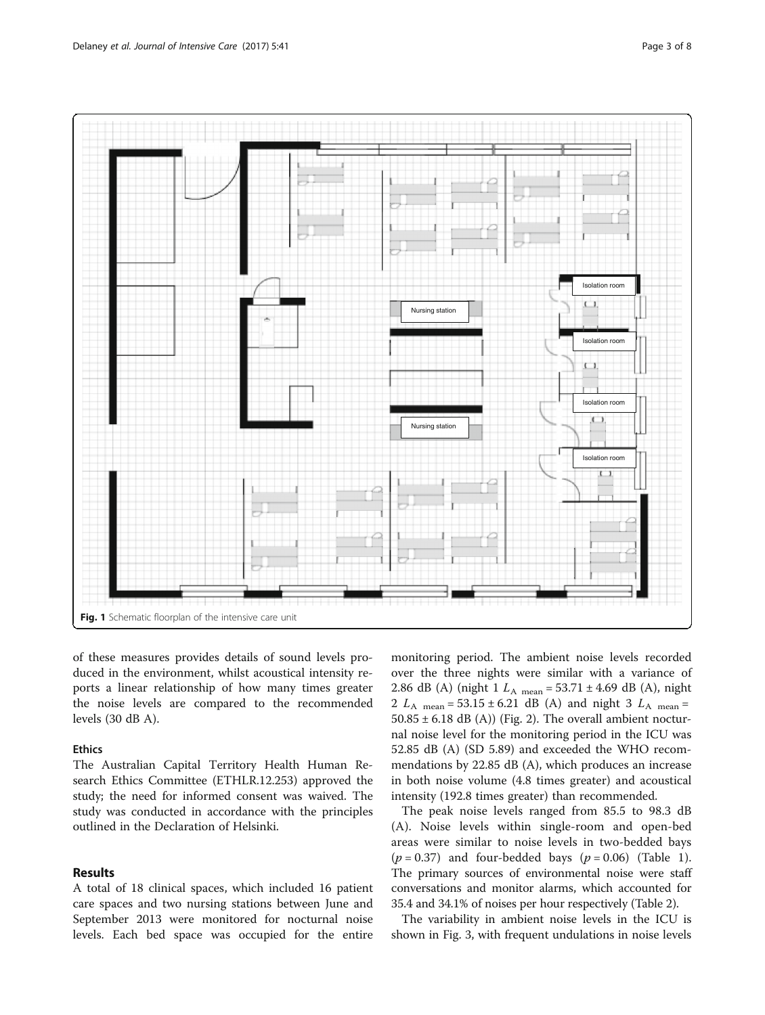<span id="page-2-0"></span>

of these measures provides details of sound levels produced in the environment, whilst acoustical intensity reports a linear relationship of how many times greater the noise levels are compared to the recommended levels (30 dB A).

#### Ethics

The Australian Capital Territory Health Human Research Ethics Committee (ETHLR.12.253) approved the study; the need for informed consent was waived. The study was conducted in accordance with the principles outlined in the Declaration of Helsinki.

#### Results

A total of 18 clinical spaces, which included 16 patient care spaces and two nursing stations between June and September 2013 were monitored for nocturnal noise levels. Each bed space was occupied for the entire

monitoring period. The ambient noise levels recorded over the three nights were similar with a variance of 2.86 dB (A) (night 1  $L_{A \text{ mean}} = 53.71 \pm 4.69 \text{ dB}$  (A), night 2  $L_{\text{A mean}} = 53.15 \pm 6.21 \text{ dB}$  (A) and night 3  $L_{\text{A mean}} =$  $50.85 \pm 6.18$  dB (A)) (Fig. [2\)](#page-3-0). The overall ambient nocturnal noise level for the monitoring period in the ICU was 52.85 dB (A) (SD 5.89) and exceeded the WHO recommendations by 22.85 dB (A), which produces an increase in both noise volume (4.8 times greater) and acoustical intensity (192.8 times greater) than recommended.

The peak noise levels ranged from 85.5 to 98.3 dB (A). Noise levels within single-room and open-bed areas were similar to noise levels in two-bedded bays  $(p = 0.37)$  and four-bedded bays  $(p = 0.06)$  (Table [1](#page-3-0)). The primary sources of environmental noise were staff conversations and monitor alarms, which accounted for 35.4 and 34.1% of noises per hour respectively (Table [2\)](#page-3-0).

The variability in ambient noise levels in the ICU is shown in Fig. [3](#page-4-0), with frequent undulations in noise levels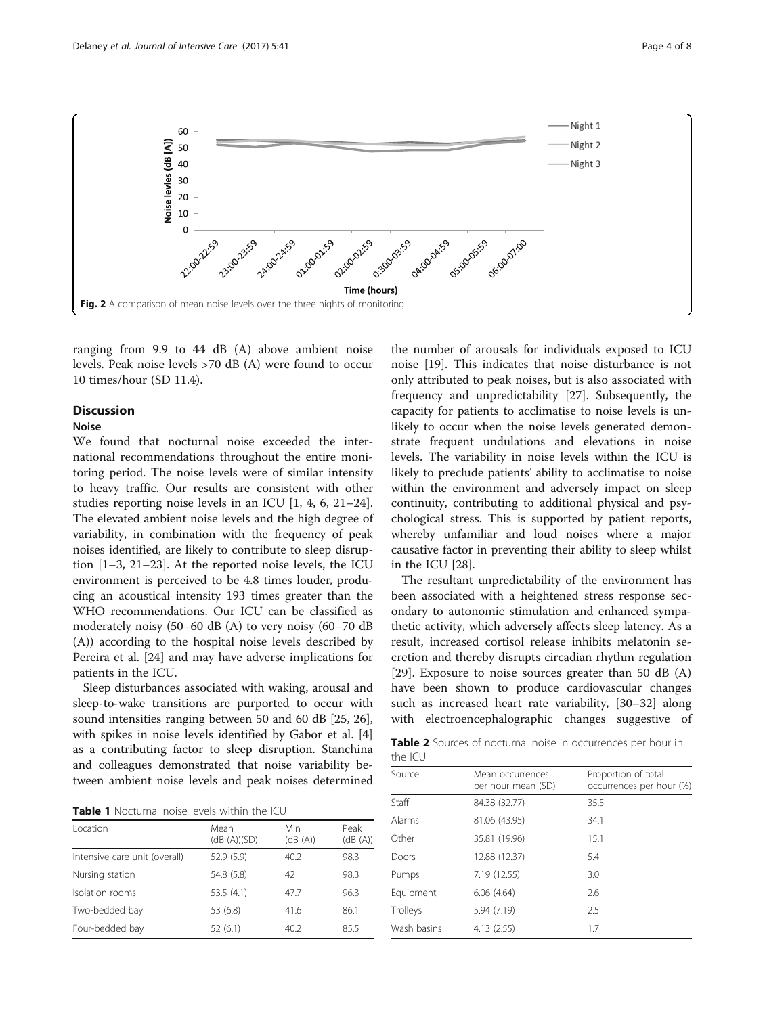<span id="page-3-0"></span>

ranging from 9.9 to 44 dB (A) above ambient noise levels. Peak noise levels >70 dB (A) were found to occur 10 times/hour (SD 11.4).

#### Discussion

#### Noise

We found that nocturnal noise exceeded the international recommendations throughout the entire monitoring period. The noise levels were of similar intensity to heavy traffic. Our results are consistent with other studies reporting noise levels in an ICU [\[1](#page-6-0), [4, 6](#page-6-0), [21](#page-6-0)–[24](#page-6-0)]. The elevated ambient noise levels and the high degree of variability, in combination with the frequency of peak noises identified, are likely to contribute to sleep disruption [[1](#page-6-0)–[3](#page-6-0), [21](#page-6-0)–[23\]](#page-6-0). At the reported noise levels, the ICU environment is perceived to be 4.8 times louder, producing an acoustical intensity 193 times greater than the WHO recommendations. Our ICU can be classified as moderately noisy (50−60 dB (A) to very noisy (60−70 dB (A)) according to the hospital noise levels described by Pereira et al. [\[24\]](#page-6-0) and may have adverse implications for patients in the ICU.

Sleep disturbances associated with waking, arousal and sleep-to-wake transitions are purported to occur with sound intensities ranging between 50 and 60 dB [\[25](#page-6-0), [26](#page-6-0)], with spikes in noise levels identified by Gabor et al. [\[4](#page-6-0)] as a contributing factor to sleep disruption. Stanchina and colleagues demonstrated that noise variability between ambient noise levels and peak noises determined

| <b>Table 1</b> Nocturnal noise levels within the ICU |  |
|------------------------------------------------------|--|
|------------------------------------------------------|--|

| Location                      | Mean         | Min     | Peak    |  |
|-------------------------------|--------------|---------|---------|--|
|                               | (dB (A))(SD) | (dB(A)) | (dB(A)) |  |
| Intensive care unit (overall) | 52.9 (5.9)   | 40.2    | 98.3    |  |
| Nursing station               | 54.8 (5.8)   | 42      | 98.3    |  |
| Isolation rooms               | 53.5(4.1)    | 47.7    | 96.3    |  |
| Two-bedded bay                | 53 (6.8)     | 41.6    | 86.1    |  |
| Four-bedded bay               | 52(6.1)      | 40.2    | 85.5    |  |

the number of arousals for individuals exposed to ICU noise [[19](#page-6-0)]. This indicates that noise disturbance is not only attributed to peak noises, but is also associated with frequency and unpredictability [\[27](#page-6-0)]. Subsequently, the capacity for patients to acclimatise to noise levels is unlikely to occur when the noise levels generated demonstrate frequent undulations and elevations in noise levels. The variability in noise levels within the ICU is likely to preclude patients' ability to acclimatise to noise within the environment and adversely impact on sleep continuity, contributing to additional physical and psychological stress. This is supported by patient reports, whereby unfamiliar and loud noises where a major causative factor in preventing their ability to sleep whilst in the ICU [[28\]](#page-6-0).

The resultant unpredictability of the environment has been associated with a heightened stress response secondary to autonomic stimulation and enhanced sympathetic activity, which adversely affects sleep latency. As a result, increased cortisol release inhibits melatonin secretion and thereby disrupts circadian rhythm regulation [[29\]](#page-6-0). Exposure to noise sources greater than 50 dB (A) have been shown to produce cardiovascular changes such as increased heart rate variability, [[30](#page-6-0)–[32](#page-6-0)] along with electroencephalographic changes suggestive of

Table 2 Sources of nocturnal noise in occurrences per hour in the ICU

| ----        |                                        |                                                 |  |  |
|-------------|----------------------------------------|-------------------------------------------------|--|--|
| Source      | Mean occurrences<br>per hour mean (SD) | Proportion of total<br>occurrences per hour (%) |  |  |
| Staff       | 84.38 (32.77)                          | 35.5                                            |  |  |
| Alarms      | 81.06 (43.95)                          | 34.1                                            |  |  |
| Other       | 35.81 (19.96)                          | 15.1                                            |  |  |
| Doors       | 12.88 (12.37)                          | 5.4                                             |  |  |
| Pumps       | 7.19 (12.55)                           | 3.0                                             |  |  |
| Equipment   | 6.06(4.64)                             | 2.6                                             |  |  |
| Trolleys    | 5.94 (7.19)                            | 2.5                                             |  |  |
| Wash basins | 4.13(2.55)                             | 1.7                                             |  |  |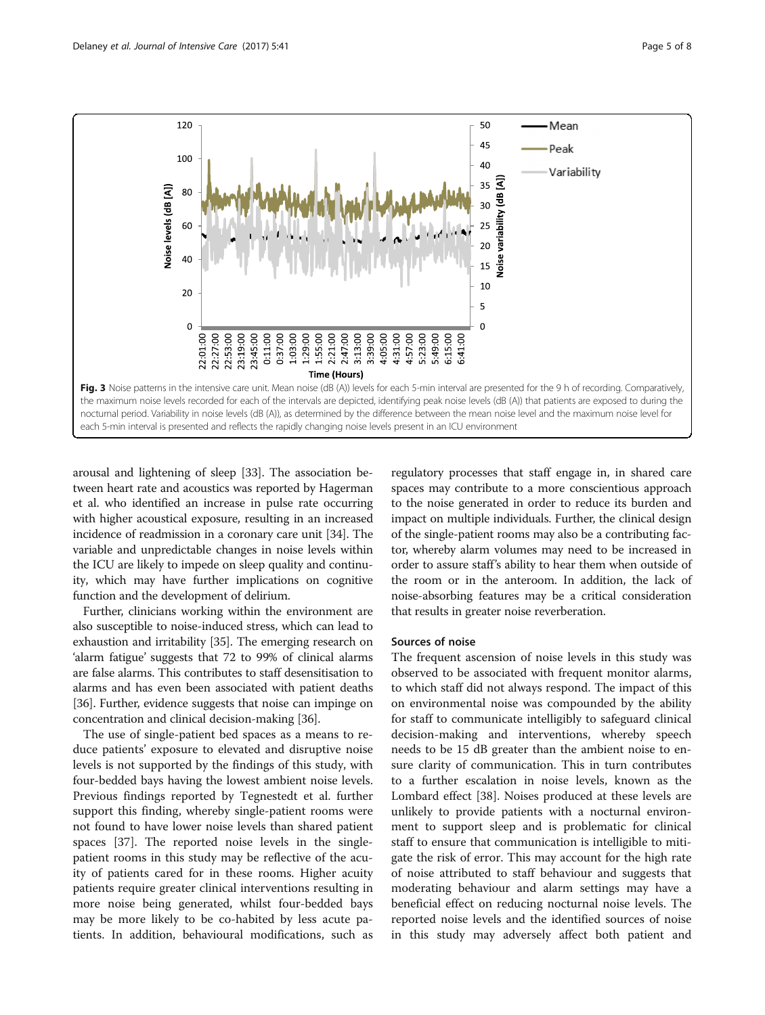<span id="page-4-0"></span>

arousal and lightening of sleep [\[33\]](#page-6-0). The association between heart rate and acoustics was reported by Hagerman et al. who identified an increase in pulse rate occurring with higher acoustical exposure, resulting in an increased incidence of readmission in a coronary care unit [[34\]](#page-6-0). The variable and unpredictable changes in noise levels within the ICU are likely to impede on sleep quality and continuity, which may have further implications on cognitive function and the development of delirium.

Further, clinicians working within the environment are also susceptible to noise-induced stress, which can lead to exhaustion and irritability [\[35](#page-6-0)]. The emerging research on 'alarm fatigue' suggests that 72 to 99% of clinical alarms are false alarms. This contributes to staff desensitisation to alarms and has even been associated with patient deaths [[36](#page-6-0)]. Further, evidence suggests that noise can impinge on concentration and clinical decision-making [[36](#page-6-0)].

The use of single-patient bed spaces as a means to reduce patients' exposure to elevated and disruptive noise levels is not supported by the findings of this study, with four-bedded bays having the lowest ambient noise levels. Previous findings reported by Tegnestedt et al. further support this finding, whereby single-patient rooms were not found to have lower noise levels than shared patient spaces [[37\]](#page-6-0). The reported noise levels in the singlepatient rooms in this study may be reflective of the acuity of patients cared for in these rooms. Higher acuity patients require greater clinical interventions resulting in more noise being generated, whilst four-bedded bays may be more likely to be co-habited by less acute patients. In addition, behavioural modifications, such as

regulatory processes that staff engage in, in shared care spaces may contribute to a more conscientious approach to the noise generated in order to reduce its burden and impact on multiple individuals. Further, the clinical design of the single-patient rooms may also be a contributing factor, whereby alarm volumes may need to be increased in order to assure staff's ability to hear them when outside of the room or in the anteroom. In addition, the lack of noise-absorbing features may be a critical consideration that results in greater noise reverberation.

#### Sources of noise

The frequent ascension of noise levels in this study was observed to be associated with frequent monitor alarms, to which staff did not always respond. The impact of this on environmental noise was compounded by the ability for staff to communicate intelligibly to safeguard clinical decision-making and interventions, whereby speech needs to be 15 dB greater than the ambient noise to ensure clarity of communication. This in turn contributes to a further escalation in noise levels, known as the Lombard effect [\[38\]](#page-6-0). Noises produced at these levels are unlikely to provide patients with a nocturnal environment to support sleep and is problematic for clinical staff to ensure that communication is intelligible to mitigate the risk of error. This may account for the high rate of noise attributed to staff behaviour and suggests that moderating behaviour and alarm settings may have a beneficial effect on reducing nocturnal noise levels. The reported noise levels and the identified sources of noise in this study may adversely affect both patient and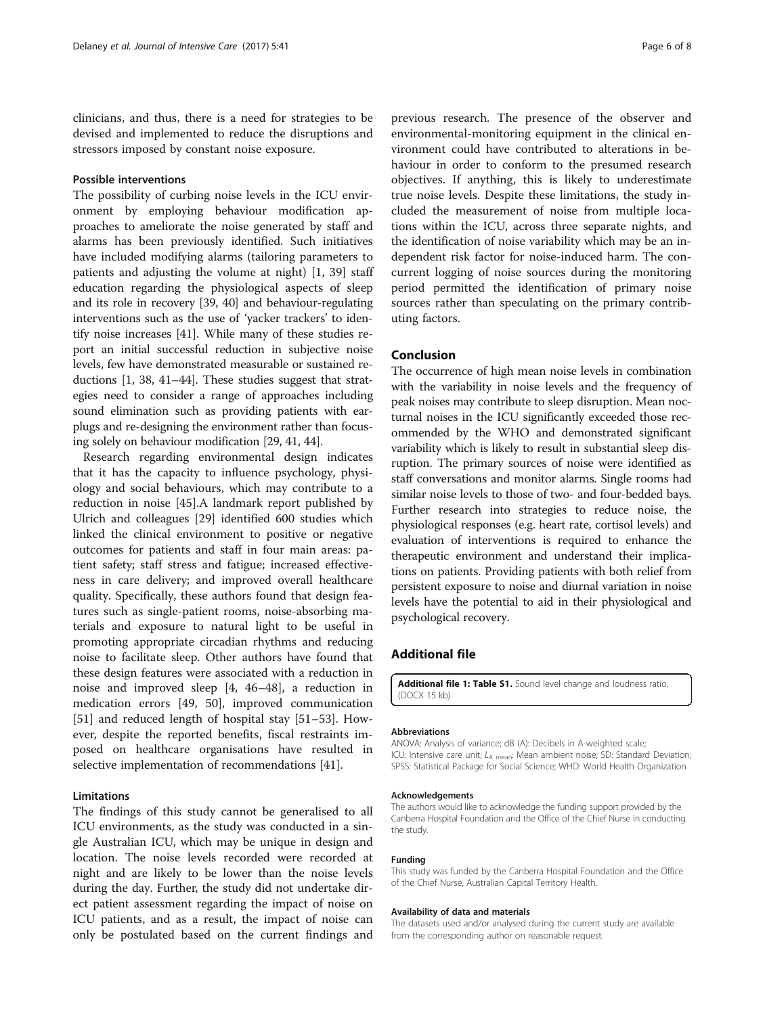<span id="page-5-0"></span>clinicians, and thus, there is a need for strategies to be devised and implemented to reduce the disruptions and stressors imposed by constant noise exposure.

#### Possible interventions

The possibility of curbing noise levels in the ICU environment by employing behaviour modification approaches to ameliorate the noise generated by staff and alarms has been previously identified. Such initiatives have included modifying alarms (tailoring parameters to patients and adjusting the volume at night) [[1, 39](#page-6-0)] staff education regarding the physiological aspects of sleep and its role in recovery [\[39,](#page-6-0) [40\]](#page-7-0) and behaviour-regulating interventions such as the use of 'yacker trackers' to identify noise increases [\[41\]](#page-7-0). While many of these studies report an initial successful reduction in subjective noise levels, few have demonstrated measurable or sustained reductions [[1, 38](#page-6-0), [41](#page-7-0)–[44\]](#page-7-0). These studies suggest that strategies need to consider a range of approaches including sound elimination such as providing patients with earplugs and re-designing the environment rather than focusing solely on behaviour modification [\[29,](#page-6-0) [41, 44](#page-7-0)].

Research regarding environmental design indicates that it has the capacity to influence psychology, physiology and social behaviours, which may contribute to a reduction in noise [[45\]](#page-7-0).A landmark report published by Ulrich and colleagues [[29\]](#page-6-0) identified 600 studies which linked the clinical environment to positive or negative outcomes for patients and staff in four main areas: patient safety; staff stress and fatigue; increased effectiveness in care delivery; and improved overall healthcare quality. Specifically, these authors found that design features such as single-patient rooms, noise-absorbing materials and exposure to natural light to be useful in promoting appropriate circadian rhythms and reducing noise to facilitate sleep. Other authors have found that these design features were associated with a reduction in noise and improved sleep [\[4](#page-6-0), [46](#page-7-0)–[48\]](#page-7-0), a reduction in medication errors [[49, 50\]](#page-7-0), improved communication [[51\]](#page-7-0) and reduced length of hospital stay [[51](#page-7-0)–[53](#page-7-0)]. However, despite the reported benefits, fiscal restraints imposed on healthcare organisations have resulted in selective implementation of recommendations [\[41\]](#page-7-0).

#### Limitations

The findings of this study cannot be generalised to all ICU environments, as the study was conducted in a single Australian ICU, which may be unique in design and location. The noise levels recorded were recorded at night and are likely to be lower than the noise levels during the day. Further, the study did not undertake direct patient assessment regarding the impact of noise on ICU patients, and as a result, the impact of noise can only be postulated based on the current findings and previous research. The presence of the observer and environmental-monitoring equipment in the clinical environment could have contributed to alterations in behaviour in order to conform to the presumed research objectives. If anything, this is likely to underestimate true noise levels. Despite these limitations, the study included the measurement of noise from multiple locations within the ICU, across three separate nights, and the identification of noise variability which may be an independent risk factor for noise-induced harm. The concurrent logging of noise sources during the monitoring period permitted the identification of primary noise sources rather than speculating on the primary contributing factors.

#### Conclusion

The occurrence of high mean noise levels in combination with the variability in noise levels and the frequency of peak noises may contribute to sleep disruption. Mean nocturnal noises in the ICU significantly exceeded those recommended by the WHO and demonstrated significant variability which is likely to result in substantial sleep disruption. The primary sources of noise were identified as staff conversations and monitor alarms. Single rooms had similar noise levels to those of two- and four-bedded bays. Further research into strategies to reduce noise, the physiological responses (e.g. heart rate, cortisol levels) and evaluation of interventions is required to enhance the therapeutic environment and understand their implications on patients. Providing patients with both relief from persistent exposure to noise and diurnal variation in noise levels have the potential to aid in their physiological and psychological recovery.

#### Additional file

[Additional file 1: Table S1.](dx.doi.org/10.1186/s40560-017-0237-9) Sound level change and loudness ratio. (DOCX 15 kb)

#### Abbreviations

ANOVA: Analysis of variance; dB (A): Decibels in A-weighted scale; ICU: Intensive care unit; LA mean: Mean ambient noise; SD: Standard Deviation; SPSS: Statistical Package for Social Science; WHO: World Health Organization

#### Acknowledgements

The authors would like to acknowledge the funding support provided by the Canberra Hospital Foundation and the Office of the Chief Nurse in conducting the study.

#### Funding

This study was funded by the Canberra Hospital Foundation and the Office of the Chief Nurse, Australian Capital Territory Health.

#### Availability of data and materials

The datasets used and/or analysed during the current study are available from the corresponding author on reasonable request.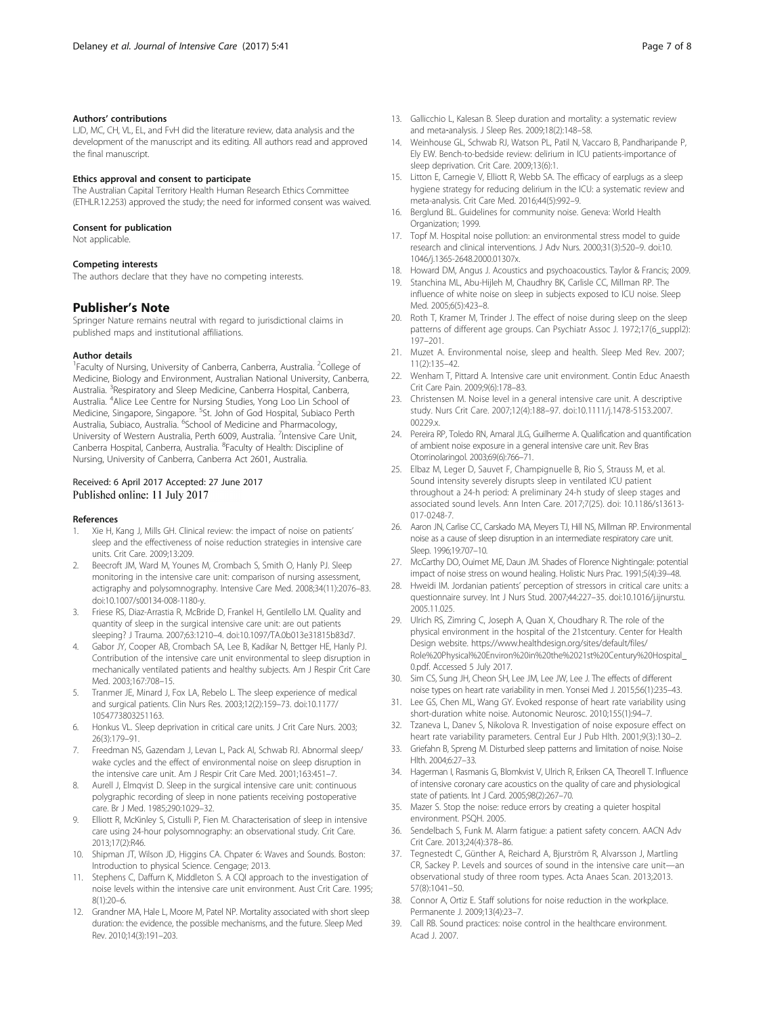#### <span id="page-6-0"></span>Authors' contributions

LJD, MC, CH, VL, EL, and FvH did the literature review, data analysis and the development of the manuscript and its editing. All authors read and approved the final manuscript.

#### Ethics approval and consent to participate

The Australian Capital Territory Health Human Research Ethics Committee (ETHLR.12.253) approved the study; the need for informed consent was waived.

#### Consent for publication

Not applicable.

#### Competing interests

The authors declare that they have no competing interests.

#### Publisher's Note

Springer Nature remains neutral with regard to jurisdictional claims in published maps and institutional affiliations.

#### Author details

<sup>1</sup> Faculty of Nursing, University of Canberra, Canberra, Australia. <sup>2</sup>College of Medicine, Biology and Environment, Australian National University, Canberra, Australia. <sup>3</sup>Respiratory and Sleep Medicine, Canberra Hospital, Canberra, Australia. <sup>4</sup> Alice Lee Centre for Nursing Studies, Yong Loo Lin School of Medicine, Singapore, Singapore. <sup>5</sup>St. John of God Hospital, Subiaco Perth Australia, Subiaco, Australia. <sup>6</sup>School of Medicine and Pharmacology, University of Western Australia, Perth 6009, Australia. <sup>7</sup>Intensive Care Unit, Canberra Hospital, Canberra, Australia. <sup>8</sup>Faculty of Health: Discipline of Nursing, University of Canberra, Canberra Act 2601, Australia.

#### Received: 6 April 2017 Accepted: 27 June 2017 Published online: 11 July 2017

#### References

- 1. Xie H, Kang J, Mills GH. Clinical review: the impact of noise on patients' sleep and the effectiveness of noise reduction strategies in intensive care units. Crit Care. 2009;13:209.
- 2. Beecroft JM, Ward M, Younes M, Crombach S, Smith O, Hanly PJ. Sleep monitoring in the intensive care unit: comparison of nursing assessment, actigraphy and polysomnography. Intensive Care Med. 2008;34(11):2076–83. doi[:10.1007/s00134-008-1180-y.](http://dx.doi.org/10.1007/s00134-008-1180-y)
- 3. Friese RS, Diaz-Arrastia R, McBride D, Frankel H, Gentilello LM. Quality and quantity of sleep in the surgical intensive care unit: are out patients sleeping? J Trauma. 2007;63:1210–4. doi:[10.1097/TA.0b013e31815b83d7](http://dx.doi.org/10.1097/TA.0b013e31815b83d7).
- 4. Gabor JY, Cooper AB, Crombach SA, Lee B, Kadikar N, Bettger HE, Hanly PJ. Contribution of the intensive care unit environmental to sleep disruption in mechanically ventilated patients and healthy subjects. Am J Respir Crit Care Med. 2003;167:708–15.
- 5. Tranmer JE, Minard J, Fox LA, Rebelo L. The sleep experience of medical and surgical patients. Clin Nurs Res. 2003;12(2):159–73. doi[:10.1177/](http://dx.doi.org/10.1177/1054773803251163) [1054773803251163](http://dx.doi.org/10.1177/1054773803251163).
- 6. Honkus VL. Sleep deprivation in critical care units. J Crit Care Nurs. 2003; 26(3):179–91.
- 7. Freedman NS, Gazendam J, Levan L, Pack AI, Schwab RJ. Abnormal sleep/ wake cycles and the effect of environmental noise on sleep disruption in the intensive care unit. Am J Respir Crit Care Med. 2001;163:451–7.
- 8. Aurell J, Elmqvist D. Sleep in the surgical intensive care unit: continuous polygraphic recording of sleep in none patients receiving postoperative care. Br J Med. 1985;290:1029–32.
- 9. Elliott R, McKinley S, Cistulli P, Fien M. Characterisation of sleep in intensive care using 24-hour polysomnography: an observational study. Crit Care. 2013;17(2):R46.
- 10. Shipman JT, Wilson JD, Higgins CA. Chpater 6: Waves and Sounds. Boston: Introduction to physical Science. Cengage; 2013.
- 11. Stephens C, Daffurn K, Middleton S. A CQI approach to the investigation of noise levels within the intensive care unit environment. Aust Crit Care. 1995; 8(1):20–6.
- 12. Grandner MA, Hale L, Moore M, Patel NP. Mortality associated with short sleep duration: the evidence, the possible mechanisms, and the future. Sleep Med Rev. 2010;14(3):191–203.
- 13. Gallicchio L, Kalesan B. Sleep duration and mortality: a systematic review and meta‐analysis. J Sleep Res. 2009;18(2):148–58.
- 14. Weinhouse GL, Schwab RJ, Watson PL, Patil N, Vaccaro B, Pandharipande P, Ely EW. Bench-to-bedside review: delirium in ICU patients-importance of sleep deprivation. Crit Care. 2009;13(6):1.
- 15. Litton E, Carnegie V, Elliott R, Webb SA. The efficacy of earplugs as a sleep hygiene strategy for reducing delirium in the ICU: a systematic review and meta-analysis. Crit Care Med. 2016;44(5):992–9.
- 16. Berglund BL. Guidelines for community noise. Geneva: World Health Organization; 1999.
- 17. Topf M. Hospital noise pollution: an environmental stress model to guide research and clinical interventions. J Adv Nurs. 2000;31(3):520–9. doi[:10.](http://dx.doi.org/10.1046/j.1365-2648.2000.01307x) [1046/j.1365-2648.2000.01307x](http://dx.doi.org/10.1046/j.1365-2648.2000.01307x).
- 18. Howard DM, Angus J. Acoustics and psychoacoustics. Taylor & Francis; 2009.
- 19. Stanchina ML, Abu-Hijleh M, Chaudhry BK, Carlisle CC, Millman RP. The influence of white noise on sleep in subjects exposed to ICU noise. Sleep Med. 2005;6(5):423–8.
- 20. Roth T, Kramer M, Trinder J. The effect of noise during sleep on the sleep patterns of different age groups. Can Psychiatr Assoc J. 1972;17(6\_suppl2): 197–201.
- 21. Muzet A. Environmental noise, sleep and health. Sleep Med Rev. 2007; 11(2):135–42.
- 22. Wenham T, Pittard A. Intensive care unit environment. Contin Educ Anaesth Crit Care Pain. 2009;9(6):178–83.
- 23. Christensen M. Noise level in a general intensive care unit. A descriptive study. Nurs Crit Care. 2007;12(4):188–97. doi[:10.1111/j.1478-5153.2007.](http://dx.doi.org/10.1111/j.1478-5153.2007.00229.x) [00229.x.](http://dx.doi.org/10.1111/j.1478-5153.2007.00229.x)
- 24. Pereira RP, Toledo RN, Amaral JLG, Guilherme A. Qualification and quantification of ambient noise exposure in a general intensive care unit. Rev Bras Otorrinolaringol. 2003;69(6):766–71.
- 25. Elbaz M, Leger D, Sauvet F, Champignuelle B, Rio S, Strauss M, et al. Sound intensity severely disrupts sleep in ventilated ICU patient throughout a 24-h period: A preliminary 24-h study of sleep stages and associated sound levels. Ann Inten Care. 2017;7(25). doi: [10.1186/s13613-](http://dx.doi.org/10.1186/s13613-017-0248-7) [017-0248-7](http://dx.doi.org/10.1186/s13613-017-0248-7).
- 26. Aaron JN, Carlise CC, Carskado MA, Meyers TJ, Hill NS, Millman RP. Environmental noise as a cause of sleep disruption in an intermediate respiratory care unit. Sleep. 1996;19:707–10.
- 27. McCarthy DO, Ouimet ME, Daun JM. Shades of Florence Nightingale: potential impact of noise stress on wound healing. Holistic Nurs Prac. 1991;5(4):39–48.
- 28. Hweidi IM. Jordanian patients' perception of stressors in critical care units: a questionnaire survey. Int J Nurs Stud. 2007;44:227–35. doi:[10.1016/j.ijnurstu.](http://dx.doi.org/10.1016/j.ijnurstu.2005.11.025) [2005.11.025.](http://dx.doi.org/10.1016/j.ijnurstu.2005.11.025)
- 29. Ulrich RS, Zimring C, Joseph A, Quan X, Choudhary R. The role of the physical environment in the hospital of the 21stcentury. Center for Health Design website. [https://www.healthdesign.org/sites/default/files/](https://www.healthdesign.org/sites/default/files/Role%20Physical%20Environ%20in%20the%2021st%20Century%20Hospital_0.pdf) [Role%20Physical%20Environ%20in%20the%2021st%20Century%20Hospital\\_](https://www.healthdesign.org/sites/default/files/Role%20Physical%20Environ%20in%20the%2021st%20Century%20Hospital_0.pdf) [0.pdf.](https://www.healthdesign.org/sites/default/files/Role%20Physical%20Environ%20in%20the%2021st%20Century%20Hospital_0.pdf) Accessed 5 July 2017.
- 30. Sim CS, Sung JH, Cheon SH, Lee JM, Lee JW, Lee J. The effects of different noise types on heart rate variability in men. Yonsei Med J. 2015;56(1):235–43.
- 31. Lee GS, Chen ML, Wang GY. Evoked response of heart rate variability using short-duration white noise. Autonomic Neurosc. 2010;155(1):94–7.
- 32. Tzaneva L, Danev S, Nikolova R. Investigation of noise exposure effect on heart rate variability parameters. Central Eur J Pub Hlth. 2001;9(3):130–2.
- 33. Griefahn B, Spreng M. Disturbed sleep patterns and limitation of noise. Noise Hlth. 2004;6:27–33.
- 34. Hagerman I, Rasmanis G, Blomkvist V, Ulrich R, Eriksen CA, Theorell T. Influence of intensive coronary care acoustics on the quality of care and physiological state of patients. Int J Card. 2005;98(2):267–70.
- 35. Mazer S. Stop the noise: reduce errors by creating a quieter hospital environment. PSQH. 2005.
- 36. Sendelbach S, Funk M. Alarm fatigue: a patient safety concern. AACN Adv Crit Care. 2013;24(4):378–86.
- 37. Tegnestedt C, Günther A, Reichard A, Bjurström R, Alvarsson J, Martling CR, Sackey P. Levels and sources of sound in the intensive care unit—an observational study of three room types. Acta Anaes Scan. 2013;2013. 57(8):1041–50.
- Connor A, Ortiz E. Staff solutions for noise reduction in the workplace. Permanente J. 2009;13(4):23–7.
- 39. Call RB. Sound practices: noise control in the healthcare environment. Acad J. 2007.